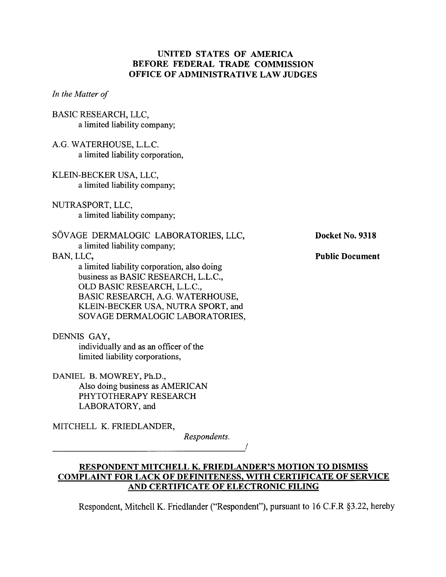# **UNITED STATES OF AMERICA BEFORE FEDERAL TRADE COMMISSION OFFICE OF ADMINISTRATIVE LAW JUDGES**

*In the Matter of* 

- BASIC RESEARCH, LLC, a limited liability company;
- A.G. WATERHOUSE, L.L.C. a limited liability corporation,
- KLEIN-BECKER USA, LLC, a limited liability company;
- NUTRASPORT, LLC, a limited liability company;
- SOVAGE DERMALOGIC LABORATORIES, LLC, a limited liability company;

# BAN, LLC,

a limited liability corporation, also doing business as BASIC RESEARCH, L.L.C., OLD BASIC RESEARCH, L.L.C., BASIC RESEARCH, A.G. WATERHOUSE, KLEIN-BECKER USA, NUTRA SPORT, and SOVAGE DERMALOGIC LABORATORIES,

DENNIS GAY,

individually and as an officer of the limited liability corporations,

DANIEL B. MOWREY, Ph.D., Also doing business as AMERICAN PHYTOTHERAPY RESEARCH LABORATORY, and

MITCHELL K. FRIEDLANDER,

*Respondents.* 

**Docket No. 9318** 

**Public Document** 

**RESPONDENT MITCHELL K. FRIEDLANDER'S MOTION TO DISMISS COMPLAINT FOR LACK OF DEFINITENESS, WITH CERTIFICATE OF SERVICE AND CERTIFICATE OF ELECTRONIC FILING** 

Respondent, Mitchell K. Friedlander ("Respondent"), pursuant to 16 C.F.R \$3.22, hereby

1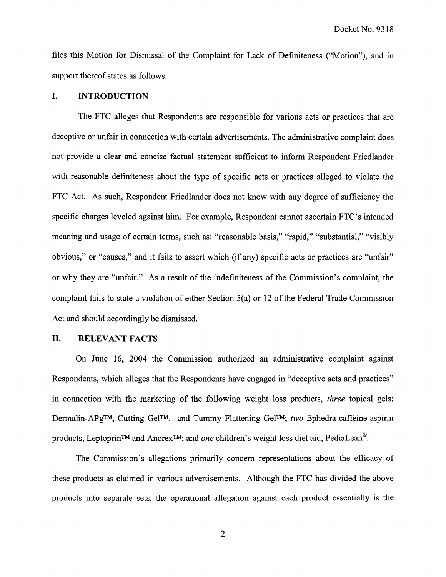files this Motion for Dismissal of the Complaint for Lack of Definiteness ("Motion"), and in support thereof states as follows.

### **I. INTRODUCTION**

The FTC alleges that Respondents are responsible for various acts or practices that are deceptive or unfair in connection with certain advertisements. The administrative complaint does not provide a clear and concise factual statement sufficient to inform Respondent Friedlander with reasonable definiteness about the type of specific acts or practices alleged to violate the FTC Act. As such, Respondent Friedlander does not know with any degree of sufficiency the specific charges leveled against him. For example, Respondent cannot ascertain FTC's intended meaning and usage of certain terms, such as: "reasonable basis," "rapid," "substantial," "visibly obvious," or "causes," and it fails to assert which (if any) specific acts or practices are "unfair" or why they are "unfair." As a result of the indefiniteness of the Commission's complaint, the complaint fails to state a violation of either Section 5(a) or 12 of the Federal Trade Commission Act and should accordingly be dismissed.

### **11. RELEVANT FACTS**

On June 16, 2004 the Commission authorized an administrative complaint against Respondents, which alleges that the Respondents have engaged in "deceptive acts and practices" in connection with the marketing of the following weight loss products, *three* topical gels: Dermalin-APgTM, Cutting GelTM, and Tummy Flattening GelTM; **two** Ephedra-caffeine-aspirin products, Leptoprin<sup>TM</sup> and Anorex<sup>TM</sup>; and *one* children's weight loss diet aid, PediaLean<sup>®</sup>.

The Commission's allegations primarily concern representations about the efficacy of these products as claimed in various advertisements. Although the FTC has divided the above products into separate sets, the operational allegation against each product essentially is the

 $\overline{2}$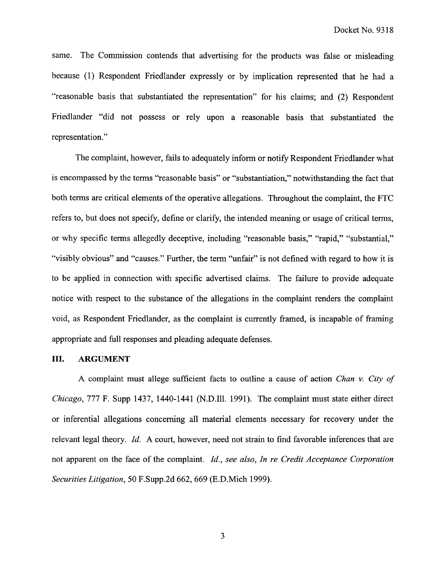same. The Commission contends that advertising for the products was false or misleading because (1) Respondent Friedlander expressly or by implication represented that he had a "reasonable basis that substantiated the representation" for his claims; and (2) Respondent Friedlander "did not possess or rely upon a reasonable basis that substantiated the representation."

The complaint, however, fails to adequately inform or notify Respondent Friedlander what is encompassed by the terms "reasonable basis" or "substantiation," notwithstanding the fact that both terms are critical elements of the operative allegations. Throughout the complaint, the FTC refers to, but does not specify, define or clarify, the intended meaning or usage of critical terms, or why specific terms allegedly deceptive, including "reasonable basis," "rapid," "substantial," "visibly obvious" and "causes." Further, the term "unfair" is not defined with regard to how it is to be applied in connection with specific advertised claims. The failure to provide adequate notice with respect to the substance of the allegations in the complaint renders the complaint void, as Respondent Friedlander, as the complaint is currently framed, is incapable of framing appropriate and hll responses and pleading adequate defenses.

#### **111.** ARGUMENT

A complaint must allege sufficient facts to outline a cause of action Chan v. City of Chicago, 777 F. Supp 1437, 1440-1441 (N.D.111. 1991). The complaint must state either direct or inferential allegations concerning all material elements necessary for recovery under the relevant legal theory. Id. **A** court, however, need not strain to find favorable inferences that are not apparent on the face of the complaint. Id., see also, In re Credit Acceptance Corporation Securities Litigation, 50 F.Supp.2d 662, 669 (E.D.Mich 1999).

 $\mathfrak{Z}$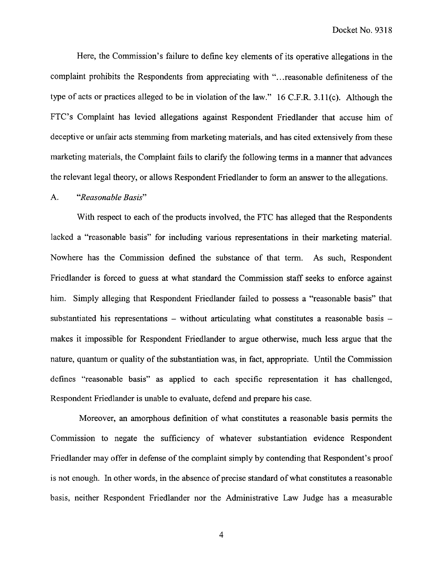Here, the Commission's failure to define key elements of its operative allegations in the complaint prohibits the Respondents from appreciating with ". . .reasonable definiteness of the type of acts or practices alleged to be in violation of the law." 16 C.F.R. 3.1 l(c). Although the FTC's Complaint has levied allegations against Respondent Friedlander that accuse him of deceptive or unfair acts stemming from marketing materials, and has cited extensively from these marketing materials, the Complaint fails to clarify the following terms in a manner that advances the relevant legal theory, or allows Respondent Friedlander to form an answer to the allegations.

#### A. "Reasonable Basis"

With respect to each of the products involved, the FTC has alleged that the Respondents lacked a "reasonable basis" for including various representations in their marketing material. Nowhere has the Commission defined the substance of that term. As such, Respondent Friedlander is forced to guess at what standard the Commission staff seeks to enforce against him. Simply alleging that Respondent Friedlander failed to possess a "reasonable basis" that substantiated his representations – without articulating what constitutes a reasonable basis – makes it impossible for Respondent Friedlander to argue otherwise, much less argue that the nature, quantum or quality of the substantiation was, in fact, appropriate. Until the Commission defines "reasonable basis" as applied to each specific representation it has challenged, Respondent Friedlander is unable to evaluate, defend and prepare his case.

Moreover, an amorphous definition of what constitutes a reasonable basis permits the Commission to negate the sufficiency of whatever substantiation evidence Respondent Friedlander may offer in defense of the complaint simply by contending that Respondent's proof is not enough. In other words, in the absence of precise standard of what constitutes a reasonable basis, neither Respondent Friedlander nor the Administrative Law Judge has a measurable

 $\overline{4}$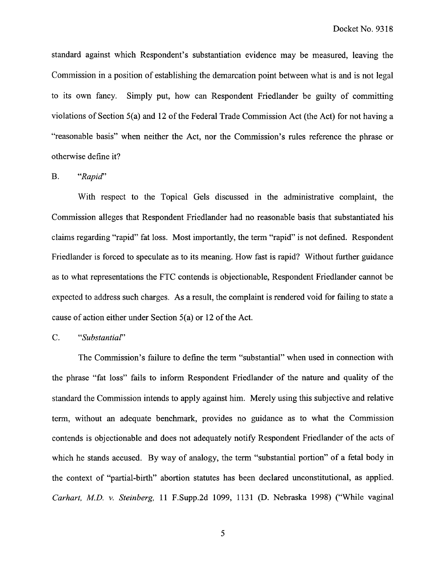standard against which Respondent's substantiation evidence may be measured, leaving the Commission in a position of establishing the demarcation point between what is and is not legal to its own fancy. Simply put, how can Respondent Friedlander be guilty of committing violations of Section 5(a) and 12 of the Federal Trade Commission Act (the Act) for not having a "reasonable basis" when neither the Act, nor the Commission's rules reference the phrase or otherwise define it?

### B. "Rapid"

With respect to the Topical Gels discussed in the administrative complaint, the Commission alleges that Respondent Friedlander had no reasonable basis that substantiated his claims regarding "rapid" fat loss. Most importantly, the term "rapid" is not defined. Respondent Friedlander is forced to speculate as to its meaning. How fast is rapid? Without further guidance as to what representations the FTC contends is objectionable, Respondent Friedlander cannot be expected to address such charges. As a result, the complaint is rendered void for failing to state a cause of action either under Section 5(a) or 12 of the Act.

# C. "Substantial"

The Commission's failure to define the term "substantial" when used in connection with the phrase "fat loss" fails to inform Respondent Friedlander of the nature and quality of the standard the Commission intends to apply against him. Merely using this subjective and relative term, without an adequate benchmark, provides no guidance as to what the Commission contends is objectionable and does not adequately notify Respondent Friedlander of the acts of which he stands accused. By way of analogy, the term "substantial portion" of a fetal body in the context of "partial-birth" abortion statutes has been declared unconstitutional, as applied. Carhart, M.D. v. Steinberg, 11 F.Supp.2d 1099, 1131 (D. Nebraska 1998) ("While vaginal

 $\mathfrak{s}$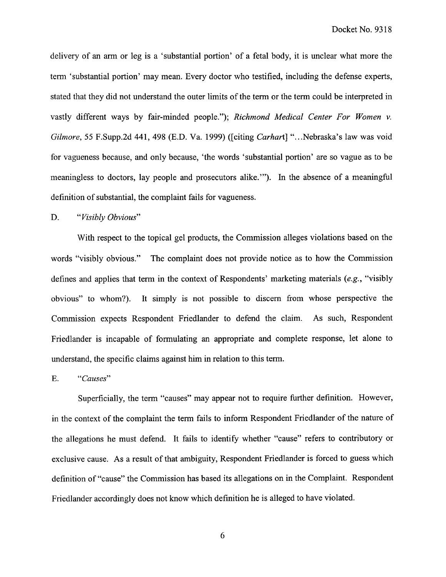Docket No. 9318

delivery of an arm or leg is a 'substantial portion' of a fetal body, it is unclear what more the term 'substantial portion' may mean. Every doctor who testified, including the defense experts, stated that they did not understand the outer limits of the term or the term could be interpreted in vastly different ways by fair-minded people."); Richmond Medical Center For Women v. Gilmore, 55 F.Supp.2d 441, 498 (E.D. Va. 1999) ([citing Carhart] "...Nebraska's law was void for vagueness because, and only because, 'the words 'substantial portion' are so vague as to be meaningless to doctors, lay people and prosecutors alike."'). In the absence of a meaningful definition of substantial, the complaint fails for vagueness.

# D. "Visibly Obvious"

With respect to the topical gel products, the Commission alleges violations based on the words "visibly obvious." The complaint does not provide notice as to how the Commission defines and applies that term in the context of Respondents' marketing materials (e.g., "visibly obvious" to whom?). It simply is not possible to discern from whose perspective the Commission expects Respondent Friedlander to defend the claim. As such, Respondent Friedlander is incapable of formulating an appropriate and complete response, let alone to understand, the specific claims against him in relation to this term.

## E. "Causes"

Superficially, the term "causes" may appear not to require further definition. However, in the context of the complaint the term fails to inform Respondent Friedlander of the nature of the allegations he must defend. It fails to identify whether "cause" refers to contributory or exclusive cause. As a result of that ambiguity, Respondent Friedlander is forced to guess which definition of "cause" the Commission has based its allegations on in the Complaint. Respondent Friedlander accordingly does not know which definition he is alleged to have violated.

6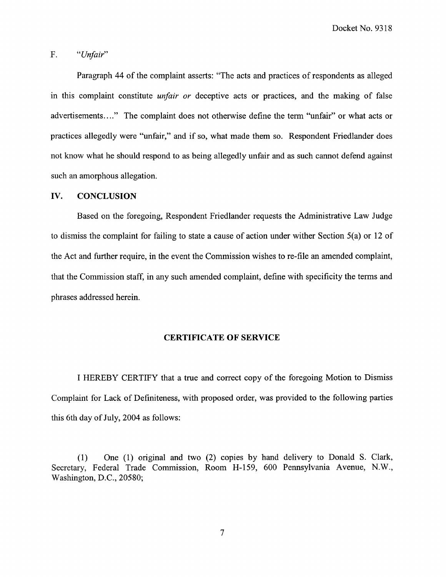Docket No. 9318

### F. "Unfair"

Paragraph 44 of the complaint asserts: "The acts and practices of respondents as alleged in this complaint constitute *unfair or* deceptive acts or practices, and the making of false advertisements...." The complaint does not otherwise define the term "unfair" or what acts or practices allegedly were "unfair," and if so, what made them so. Respondent Friedlander does not know what he should respond to as being allegedly unfair and as such cannot defend against such an amorphous allegation.

### **IV. CONCLUSION**

Based on the foregoing, Respondent Friedlander requests the Administrative Law Judge to dismiss the complaint for failing to state a cause of action under wither Section 5(a) or 12 of the Act and further require, in the event the Commission wishes to re-file an amended complaint, that the Commission staff, in any such amended complaint, define with specificity the terms and phrases addressed herein.

#### **CERTIFICATE OF SERVICE**

I HEREBY CERTIFY that a true and correct copy of the foregoing Motion to Dismiss Complaint for Lack of Definiteness, with proposed order, was provided to the following parties this 6th day of July, 2004 as follows:

(1) One (1) original and two (2) copies by hand delivery to Donald S. Clark, Secretary, Federal Trade Commission, Room H-159, 600 Pennsylvania Avenue, N.W., Washington, D.C., 20580;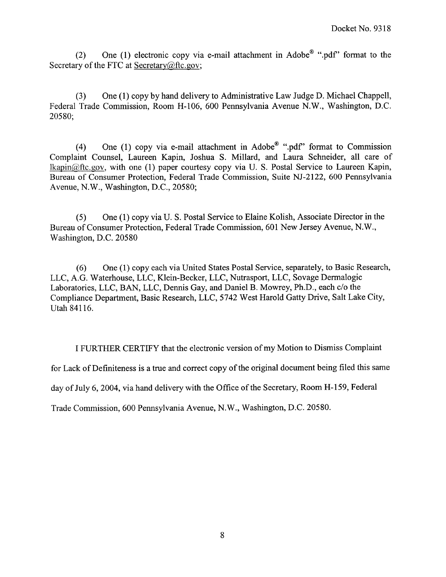(2) One (1) electronic copy via e-mail attachment in Adobe<sup>®</sup> ".pdf" format to the Secretary of the FTC at Secretary@ftc.gov;

(3) One (1) copy by hand delivery to Administrative Law Judge D. Michael Chappell, Federal Trade Commission, Room H- 106, 600 Pennsylvania Avenue N.W., Washington, D.C. 20580;

(4) One (1) copy via e-mail attachment in Adobe<sup>®</sup> ".pdf" format to Commission Complaint Counsel, Laureen Kapin, Joshua S. Millard, and Laura Schneider, all care of  $lkapin@ftc.gov$ , with one (1) paper courtesy copy via U. S. Postal Service to Laureen Kapin, Bureau of Consumer Protection, Federal Trade Commission, Suite NJ-2122, 600 Pennsylvania Avenue, N.W., Washington, D.C., 20580;

(5) One (1) copy via U. S. Postal Service to Elaine Kolish, Associate Director in the Bureau of Consumer Protection, Federal Trade Commission, 601 New Jersey Avenue, N.W., Washington, D.C. 20580

(6) One (1) copy each via United States Postal Service, separately, to Basic Research, LLC, A.G. Waterhouse, LLC, Klein-Becker, LLC, Nutrasport, LLC, Sovage Dermalogic Laboratories, LLC, BAN, LLC, Dennis Gay, and Daniel B. Mowrey, Ph.D., each c/o the Compliance Department, Basic Research, LLC, 5742 West Harold Gatty Drive, Salt Lake City, Utah 841 16.

I FURTHER CERTIFY that the electronic version of my Motion to Dismiss Complaint for Lack of Definiteness is a true and correct copy of the original document being filed this same day of July 6,2004, via hand delivery with the Office of the Secretary, Room H-159, Federal Trade Commission, 600 Pennsylvania Avenue, N.W., Washington, D.C. 20580.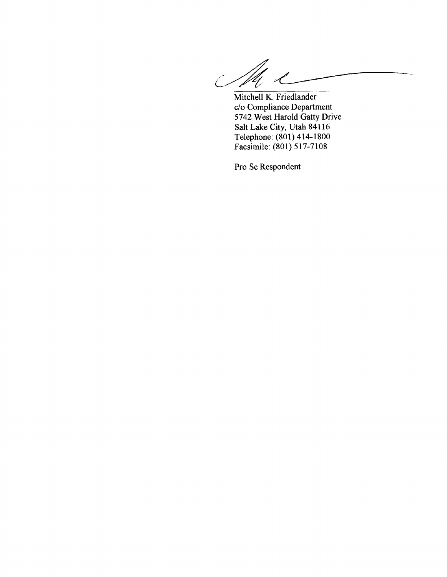**Mitchell K. Friedlander**   $\overline{\mathscr{C}}$ 

**C/O Compliance Department 5742 West Harold Gatty Drive Salt Lake City, Utah 841 16 Telephone: (801) 414-1800 Facsimile: (80 1) 5 17-7 108** 

**Pro Se Respondent**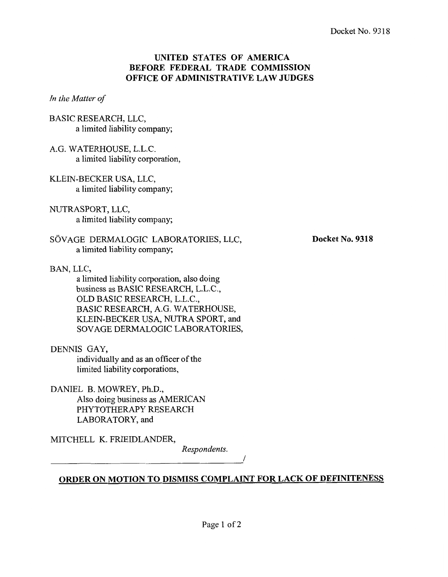# **UNITED STATES OF AMERICA BEFORE FEDERAL TRADE COMMISSION OFFICE OF ADMINISTRATIVE LAW JUDGES**

*In the Matter of* 

- BASIC RESEARCH, LLC, a limited liability company;
- A.G. WATERHOUSE, L.L.C. a limited liability corporation,
- KLEIN-BECKER USA, LLC, a limited liability company;
- NUTRASPORT, LLC, a limited liability company;
- SÖVAGE DERMALOGIC LABORATORIES, LLC, a limited liability company;
- BAN, LLC,

a limited liability corporation, also doing business as BASIC RESEARCH, L.L.C., OLD BASIC RESEARCH, L.L.C., BASIC RESEARCH, A.G. WATERHOUSE, KLEIN-BECKER USA, NUTRA SPORT, and SOVAGE DERMALOGIC LABORATORIES,

DENNIS GAY, individually and as an officer of the limited liability corporations,

DANIEL B. MOWREY, Ph.D., Also doing business as AMERICAN PHYTOTHERAPY RESEARCH LABORATORY, and

MITCHELL K. FRIEDLANDER,

*Respondents.* 

**ORDER ON MOTION TO DISMISS COMPLAINT FOR LACK OF DEFINITENESS** 

**Docket No. 9318**